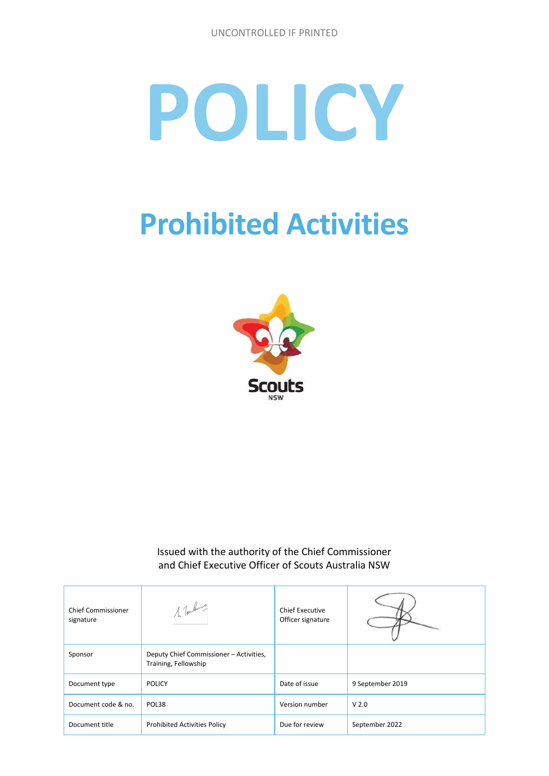# **POLICY**

## **Prohibited Activities**



Issued with the authority of the Chief Commissioner and Chief Executive Officer of Scouts Australia NSW

| <b>Chief Commissioner</b><br>signature | $1$ fashing                                                     | <b>Chief Executive</b><br>Officer signature |                  |
|----------------------------------------|-----------------------------------------------------------------|---------------------------------------------|------------------|
| Sponsor                                | Deputy Chief Commissioner - Activities,<br>Training, Fellowship |                                             |                  |
| Document type                          | <b>POLICY</b>                                                   | Date of issue                               | 9 September 2019 |
| Document code & no.                    | POL38                                                           | Version number                              | V <sub>2.0</sub> |
| Document title                         | <b>Prohibited Activities Policy</b>                             | Due for review                              | September 2022   |